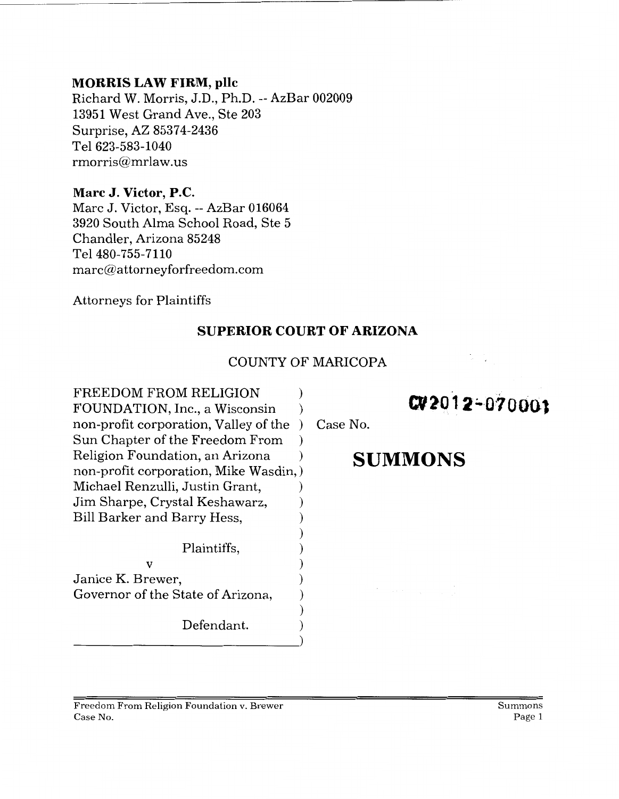#### **MORRIS LAW FIRM, pllc**

Richard W. Morris, J.D., Ph.D.-- AzBar 002009 13951 West Grand Ave., Ste 203 Surprise, AZ 85374-2436 Tel 623-583-1040 rmorris@mrlaw.us

### **Marc J. Victor, P.C.**

Marc J. Victor, Esq.-- AzBar 016064 3920 South Alma School Road, Ste 5 Chandler, Arizona 85248 Tel 480-755-7110 marc@attorneyforfreedom.com

Attorneys for Plaintiffs

# **SUPERIOR COURT OF ARIZONA**

## COUNTY OF MARICOPA

FREEDOM FROM RELIGION  $\qquad$  ) FREEDOM FROM RELIGION<br>FOUNDATION, Inc., a Wisconsin ) **CV 2012-070003** non-profit corporation, Valley of the ) Case No. Sun Chapter of the Freedom From ) Religion Foundation, an Arizona **Department SUMMONS** non-profit corporation, Mike Wasdin,) Michael Renzulli, Justin Grant, ) Jim Sharpe, Crystal Keshawarz, ) Bill Barker and Barry Hess, ) ) Plaintiffs, )  $\mathbf v$  ) Janice K. Brewer, Governor of the State of Arizona, ) Defendant.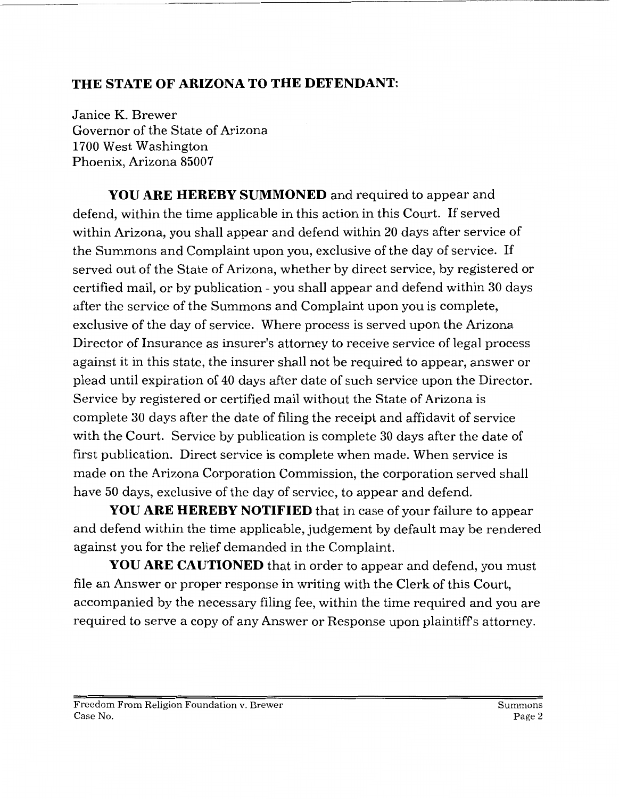## **THE STATE OF ARIZONA TO THE DEFENDANT:**

Janice K. Brewer Governor of the State of Arizona 1700 West Washington Phoenix, Arizona 85007

**YOU ARE HEREBY SUMMONED** and required to appear and defend, within the time applicable in this action in this Court. If served within Arizona, you shall appear and defend within 20 days after service of the Summons and Complaint upon you, exclusive of the day of service. If served out of the State of Arizona, whether by direct service, by registered or certified mail, or by publication - you shall appear and defend within 30 days after the service of the Summons and Complaint upon you is complete, exclusive of the day of service. Where process is served upon the Arizona Director of Insurance as insurer's attorney to receive service of legal process against it in this state, the insurer shall not be required to appear, answer or plead until expiration of 40 days after date of such service upon the Director. Service by registered or certified mail without the State of Arizona is complete 30 days after the date of filing the receipt and affidavit of service with the Court. Service by publication is complete 30 days after the date of first publication. Direct service is complete when made. When service is made on the Arizona Corporation Commission, the corporation served shall have 50 days, exclusive of the day of service, to appear and defend.

**YOU ARE HEREBY NOTIFIED** that in case of your failure to appear and defend within the time applicable, judgement by default may be rendered against you for the relief demanded in the Complaint.

**YOU ARE CAUTIONED** that in order to appear and defend, you must file an Answer or proper response in writing with the Clerk of this Court, accompanied by the necessary filing fee, within the time required and you are required to serve a copy of any Answer or Response upon plaintiff's attorney.